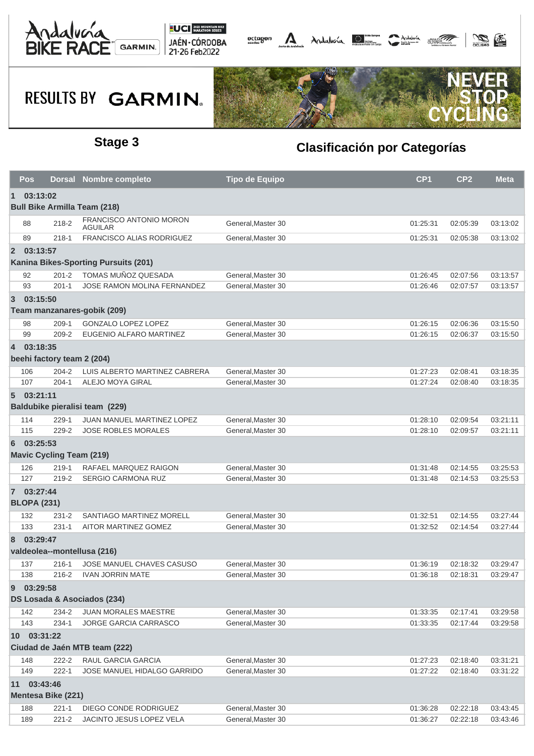



## **RESULTS BY GARMIN.**



### **Stage 3 Clasificación por Categorías**

|                                              | Pos                |                                 | <b>Dorsal Nombre completo</b>                               | <b>Tipo de Equipo</b>                   | CP <sub>1</sub>      | CP <sub>2</sub>      | <b>Meta</b>          |  |
|----------------------------------------------|--------------------|---------------------------------|-------------------------------------------------------------|-----------------------------------------|----------------------|----------------------|----------------------|--|
| 03:13:02<br>$\mathbf 1$                      |                    |                                 |                                                             |                                         |                      |                      |                      |  |
| <b>Bull Bike Armilla Team (218)</b>          |                    |                                 |                                                             |                                         |                      |                      |                      |  |
|                                              | 88                 | 218-2                           | FRANCISCO ANTONIO MORON<br>AGUILAR                          | General, Master 30                      | 01:25:31             | 02:05:39             | 03:13:02             |  |
|                                              | 89                 | $218 - 1$                       | FRANCISCO ALIAS RODRIGUEZ                                   | General, Master 30                      | 01:25:31             | 02:05:38             | 03:13:02             |  |
| $\overline{2}$                               | 03:13:57           |                                 |                                                             |                                         |                      |                      |                      |  |
| Kanina Bikes-Sporting Pursuits (201)         |                    |                                 |                                                             |                                         |                      |                      |                      |  |
|                                              | 92                 | $201 - 2$                       | TOMAS MUÑOZ QUESADA                                         | General, Master 30                      | 01:26:45             | 02:07:56             | 03:13:57             |  |
|                                              | 93                 | $201 - 1$                       | JOSE RAMON MOLINA FERNANDEZ                                 | General.Master 30                       | 01:26:46             | 02:07:57             | 03:13:57             |  |
| 3                                            | 03:15:50           |                                 |                                                             |                                         |                      |                      |                      |  |
| Team manzanares-gobik (209)                  |                    |                                 |                                                             |                                         |                      |                      |                      |  |
|                                              | 98                 | $209-1$                         | <b>GONZALO LOPEZ LOPEZ</b>                                  | General, Master 30                      | 01:26:15             | 02:06:36             | 03:15:50             |  |
|                                              | 99                 | $209 - 2$                       | EUGENIO ALFARO MARTINEZ                                     | General, Master 30                      | 01:26:15             | 02:06:37             | 03:15:50             |  |
|                                              | 4 03:18:35         |                                 |                                                             |                                         |                      |                      |                      |  |
| beehi factory team 2 (204)                   |                    |                                 |                                                             |                                         |                      |                      |                      |  |
|                                              | 106                | $204 - 2$                       | LUIS ALBERTO MARTINEZ CABRERA                               | General, Master 30                      | 01:27:23             | 02:08:41             | 03:18:35             |  |
|                                              | 107                | $204 - 1$                       | ALEJO MOYA GIRAL                                            | General, Master 30                      | 01:27:24             | 02:08:40             | 03:18:35             |  |
|                                              | 503:21:11          |                                 |                                                             |                                         |                      |                      |                      |  |
|                                              |                    |                                 | Baldubike pieralisi team (229)                              |                                         |                      |                      |                      |  |
|                                              | 114                | $229 - 1$                       | JUAN MANUEL MARTINEZ LOPEZ                                  | General, Master 30                      | 01:28:10             | 02:09:54             | 03:21:11             |  |
|                                              | 115                | 229-2                           | <b>JOSE ROBLES MORALES</b>                                  | General, Master 30                      | 01:28:10             | 02:09:57             | 03:21:11             |  |
| 6                                            | 03:25:53           |                                 |                                                             |                                         |                      |                      |                      |  |
|                                              |                    | <b>Mavic Cycling Team (219)</b> |                                                             |                                         |                      |                      |                      |  |
|                                              | 126                | $219-1$                         | RAFAEL MARQUEZ RAIGON                                       | General, Master 30                      | 01:31:48             | 02:14:55             | 03:25:53             |  |
|                                              | 127                | 219-2                           | SERGIO CARMONA RUZ                                          | General, Master 30                      | 01:31:48             | 02:14:53             | 03:25:53             |  |
|                                              | 7 03:27:44         |                                 |                                                             |                                         |                      |                      |                      |  |
|                                              | <b>BLOPA (231)</b> |                                 |                                                             |                                         |                      |                      |                      |  |
|                                              | 132                | $231 - 2$                       | SANTIAGO MARTINEZ MORELL                                    | General, Master 30                      | 01:32:51             | 02:14:55             | 03:27:44             |  |
|                                              | 133                | $231 - 1$                       | AITOR MARTINEZ GOMEZ                                        | General.Master 30                       | 01:32:52             | 02:14:54             | 03:27:44             |  |
| 8                                            | 03:29:47           |                                 |                                                             |                                         |                      |                      |                      |  |
|                                              |                    |                                 | valdeolea--montellusa (216)                                 |                                         |                      |                      |                      |  |
|                                              | 137                | 216-1                           | JOSE MANUEL CHAVES CASUSO                                   | General.Master 30                       | 01:36:19             | 02:18:32             | 03:29:47             |  |
|                                              | 138                | 216-2                           | <b>IVAN JORRIN MATE</b>                                     | General, Master 30                      | 01:36:18             | 02:18:31             | 03:29:47             |  |
| 9                                            | 03:29:58           |                                 |                                                             |                                         |                      |                      |                      |  |
|                                              |                    |                                 | DS Losada & Asociados (234)                                 |                                         |                      |                      |                      |  |
|                                              |                    |                                 |                                                             |                                         |                      |                      |                      |  |
|                                              | 142<br>143         | 234-2<br>234-1                  | <b>JUAN MORALES MAESTRE</b><br><b>JORGE GARCIA CARRASCO</b> | General, Master 30<br>General.Master 30 | 01:33:35<br>01:33:35 | 02:17:41<br>02:17:44 | 03:29:58<br>03:29:58 |  |
|                                              |                    |                                 |                                                             |                                         |                      |                      |                      |  |
| 10 03:31:22<br>Ciudad de Jaén MTB team (222) |                    |                                 |                                                             |                                         |                      |                      |                      |  |
|                                              |                    |                                 |                                                             |                                         |                      |                      |                      |  |
|                                              | 148                | $222 - 2$                       | RAUL GARCIA GARCIA                                          | General, Master 30                      | 01:27:23             | 02:18:40             | 03:31:21             |  |
|                                              | 149                | $222 - 1$                       | JOSE MANUEL HIDALGO GARRIDO                                 | General, Master 30                      | 01:27:22             | 02:18:40             | 03:31:22             |  |
| 03:43:46<br>11                               |                    |                                 |                                                             |                                         |                      |                      |                      |  |
|                                              |                    | Mentesa Bike (221)              |                                                             |                                         |                      |                      |                      |  |
|                                              | 188                | $221 - 1$                       | DIEGO CONDE RODRIGUEZ                                       | General, Master 30                      | 01:36:28             | 02:22:18             | 03:43:45             |  |
|                                              | 189                | $221 - 2$                       | JACINTO JESUS LOPEZ VELA                                    | General, Master 30                      | 01:36:27             | 02:22:18             | 03:43:46             |  |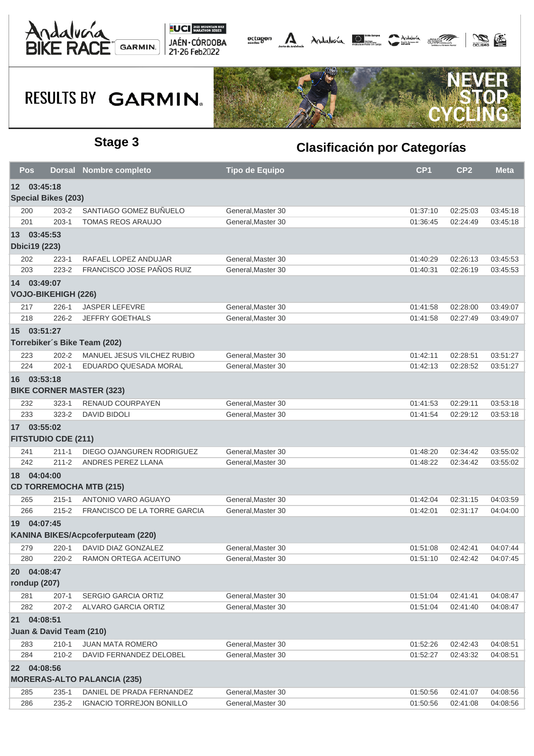



## **RESULTS BY GARMIN.**



### **Stage 3 Clasificación por Categorías**

| Pos                                           |                                                  | <b>Dorsal Nombre completo</b>       | <b>Tipo de Equipo</b> | CP <sub>1</sub> | CP <sub>2</sub> | <b>Meta</b> |  |  |  |
|-----------------------------------------------|--------------------------------------------------|-------------------------------------|-----------------------|-----------------|-----------------|-------------|--|--|--|
| 03:45:18<br>12                                |                                                  |                                     |                       |                 |                 |             |  |  |  |
|                                               | <b>Special Bikes (203)</b>                       |                                     |                       |                 |                 |             |  |  |  |
| 200                                           | 203-2                                            | SANTIAGO GOMEZ BUÑUELO              | General, Master 30    | 01:37:10        | 02:25:03        | 03:45:18    |  |  |  |
| 201                                           | $203 - 1$                                        | <b>TOMAS REOS ARAUJO</b>            | General, Master 30    | 01:36:45        | 02:24:49        | 03:45:18    |  |  |  |
| 13 03:45:53<br><b>Dbici19 (223)</b>           |                                                  |                                     |                       |                 |                 |             |  |  |  |
| 202                                           | 223-1                                            | RAFAEL LOPEZ ANDUJAR                | General, Master 30    | 01:40:29        | 02:26:13        | 03:45:53    |  |  |  |
| 203                                           | 223-2                                            | FRANCISCO JOSE PAÑOS RUIZ           | General.Master 30     | 01:40:31        | 02:26:19        | 03:45:53    |  |  |  |
| 14 03:49:07                                   |                                                  |                                     |                       |                 |                 |             |  |  |  |
|                                               | <b>VOJO-BIKEHIGH (226)</b>                       |                                     |                       |                 |                 |             |  |  |  |
| 217                                           | $226 - 1$                                        | <b>JASPER LEFEVRE</b>               | General, Master 30    | 01:41:58        | 02:28:00        | 03:49:07    |  |  |  |
| 218                                           | $226 - 2$                                        | JEFFRY GOETHALS                     | General, Master 30    | 01:41:58        | 02:27:49        | 03:49:07    |  |  |  |
| 15 03:51:27                                   |                                                  |                                     |                       |                 |                 |             |  |  |  |
|                                               |                                                  | Torrebiker's Bike Team (202)        |                       |                 |                 |             |  |  |  |
| 223                                           | $202 - 2$                                        | MANUEL JESUS VILCHEZ RUBIO          | General, Master 30    | 01:42:11        | 02:28:51        | 03:51:27    |  |  |  |
| 224                                           | $202 - 1$                                        | EDUARDO QUESADA MORAL               | General, Master 30    | 01:42:13        | 02:28:52        | 03:51:27    |  |  |  |
| 16 03:53:18                                   |                                                  |                                     |                       |                 |                 |             |  |  |  |
| <b>BIKE CORNER MASTER (323)</b>               |                                                  |                                     |                       |                 |                 |             |  |  |  |
| 232                                           | $323 - 1$                                        | RENAUD COURPAYEN                    | General.Master 30     | 01:41:53        | 02:29:11        | 03:53:18    |  |  |  |
| 233                                           | $323 - 2$                                        | <b>DAVID BIDOLI</b>                 | General, Master 30    | 01:41:54        | 02:29:12        | 03:53:18    |  |  |  |
|                                               | 17 03:55:02<br><b>FITSTUDIO CDE (211)</b>        |                                     |                       |                 |                 |             |  |  |  |
| 241                                           | $211 - 1$                                        | DIEGO OJANGUREN RODRIGUEZ           | General, Master 30    | 01:48:20        | 02:34:42        | 03:55:02    |  |  |  |
| 242                                           | $211 - 2$                                        | ANDRES PEREZ LLANA                  | General, Master 30    | 01:48:22        | 02:34:42        | 03:55:02    |  |  |  |
| 18 04:04:00<br><b>CD TORREMOCHA MTB (215)</b> |                                                  |                                     |                       |                 |                 |             |  |  |  |
| 265                                           | $215 - 1$                                        | ANTONIO VARO AGUAYO                 | General, Master 30    | 01:42:04        | 02:31:15        | 04:03:59    |  |  |  |
| 266                                           | $215 - 2$                                        | <b>FRANCISCO DE LA TORRE GARCIA</b> | General, Master 30    | 01:42:01        | 02:31:17        | 04:04:00    |  |  |  |
|                                               | 19 04:07:45<br>KANINA BIKES/Acpcoferputeam (220) |                                     |                       |                 |                 |             |  |  |  |
| 279                                           | $220 - 1$                                        | DAVID DIAZ GONZALEZ                 | General, Master 30    | 01:51:08        | 02:42:41        | 04:07:44    |  |  |  |
| 280                                           | $220 - 2$                                        | RAMON ORTEGA ACEITUNO               | General, Master 30    | 01:51:10        | 02:42:42        | 04:07:45    |  |  |  |
| 20 04:08:47<br>rondup (207)                   |                                                  |                                     |                       |                 |                 |             |  |  |  |
| 281                                           | $207 - 1$                                        | <b>SERGIO GARCIA ORTIZ</b>          | General, Master 30    | 01:51:04        | 02:41:41        | 04:08:47    |  |  |  |
| 282                                           | $207 - 2$                                        | ALVARO GARCIA ORTIZ                 | General.Master 30     | 01:51:04        | 02:41:40        | 04:08:47    |  |  |  |
| 21 04:08:51                                   |                                                  |                                     |                       |                 |                 |             |  |  |  |
| Juan & David Team (210)                       |                                                  |                                     |                       |                 |                 |             |  |  |  |
| 283                                           | $210 - 1$                                        | JUAN MATA ROMERO                    | General, Master 30    | 01:52:26        | 02:42:43        | 04:08:51    |  |  |  |
| 284                                           | $210 - 2$                                        | DAVID FERNANDEZ DELOBEL             | General, Master 30    | 01:52:27        | 02:43:32        | 04:08:51    |  |  |  |
| 22 04:08:56                                   |                                                  |                                     |                       |                 |                 |             |  |  |  |
| <b>MORERAS-ALTO PALANCIA (235)</b>            |                                                  |                                     |                       |                 |                 |             |  |  |  |
| 285                                           | $235 - 1$                                        | DANIEL DE PRADA FERNANDEZ           | General, Master 30    | 01:50:56        | 02:41:07        | 04:08:56    |  |  |  |
| 286                                           | 235-2                                            | <b>IGNACIO TORREJON BONILLO</b>     | General, Master 30    | 01:50:56        | 02:41:08        | 04:08:56    |  |  |  |